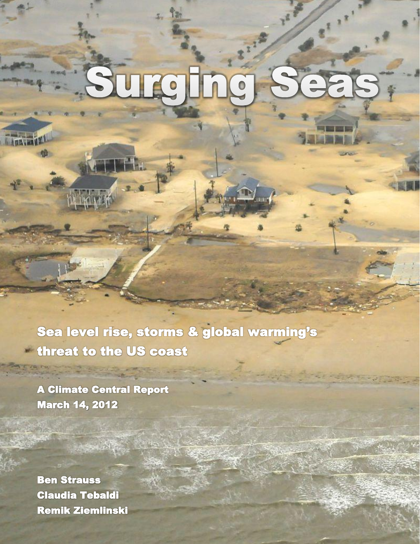# Urci  $\triangleq$

Sea level rise, storms & global warming's threat to the US coast

Iн.

A Climate Central Report March 14, 2012

Ben Strauss Claudia Tebaldi Remik Ziemlinski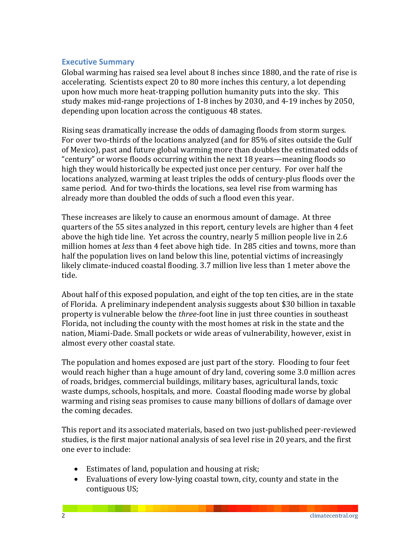# **Executive Summary**

Global warming has raised sea level about 8 inches since  $1880$ , and the rate of rise is accelerating. Scientists expect 20 to 80 more inches this century, a lot depending upon how much more heat-trapping pollution humanity puts into the sky. This study makes mid-range projections of 1-8 inches by 2030, and 4-19 inches by 2050, depending upon location across the contiguous 48 states.

Rising seas dramatically increase the odds of damaging floods from storm surges. For over two-thirds of the locations analyzed (and for 85% of sites outside the Gulf of Mexico), past and future global warming more than doubles the estimated odds of "century" or worse floods occurring within the next 18 years—meaning floods so high they would historically be expected just once per century. For over half the locations analyzed, warming at least triples the odds of century-plus floods over the same period. And for two-thirds the locations, sea level rise from warming has already more than doubled the odds of such a flood even this year.

These increases are likely to cause an enormous amount of damage. At three quarters of the 55 sites analyzed in this report, century levels are higher than 4 feet above the high tide line. Yet across the country, nearly 5 million people live in 2.6 million homes at *less* than 4 feet above high tide. In 285 cities and towns, more than half the population lives on land below this line, potential victims of increasingly likely climate-induced coastal flooding. 3.7 million live less than 1 meter above the tide.

About half of this exposed population, and eight of the top ten cities, are in the state of Florida. A preliminary independent analysis suggests about \$30 billion in taxable property is vulnerable below the *three*-foot line in just three counties in southeast Florida, not including the county with the most homes at risk in the state and the nation, Miami-Dade. Small pockets or wide areas of vulnerability, however, exist in almost every other coastal state.

The population and homes exposed are just part of the story. Flooding to four feet would reach higher than a huge amount of dry land, covering some 3.0 million acres of roads, bridges, commercial buildings, military bases, agricultural lands, toxic waste dumps, schools, hospitals, and more. Coastal flooding made worse by global warming and rising seas promises to cause many billions of dollars of damage over the coming decades.

This report and its associated materials, based on two just-published peer-reviewed studies, is the first major national analysis of sea level rise in 20 years, and the first one ever to include:

- Estimates of land, population and housing at risk;
- Evaluations of every low-lying coastal town, city, county and state in the contiguous US;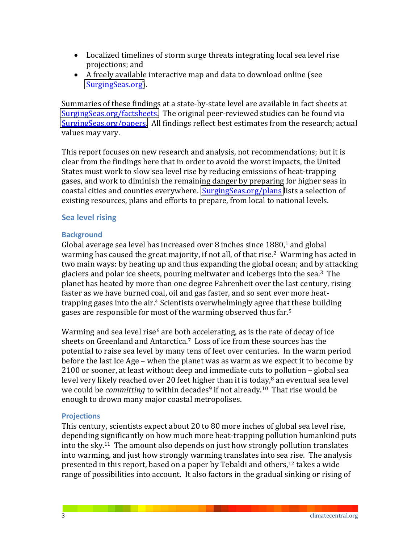- Localized timelines of storm surge threats integrating local sea level rise projections; and
- A freely available interactive map and data to download online (see [SurgingSeas.org\)](http://surgingseas.org/).

Summaries of these findings at a state-by-state level are available in fact sheets at [SurgingSeas.org/factsheets.](http://surgingseas.org/factsheets) The original peer-reviewed studies can be found via [SurgingSeas.org/papers.](http://surgingseas.org/papers) All findings reflect best estimates from the research; actual values may vary.

This report focuses on new research and analysis, not recommendations; but it is clear from the findings here that in order to avoid the worst impacts, the United States must work to slow sea level rise by reducing emissions of heat-trapping gases, and work to diminish the remaining danger by preparing for higher seas in coastal cities and counties everywhere. SurgingSeas.org/plans lists a selection of existing resources, plans and efforts to prepare, from local to national levels.

# **Sea** level rising

#### **Background**

Global average sea level has increased over  $8$  inches since  $1880$ ,<sup>1</sup> and global warming has caused the great majority, if not all, of that rise.<sup>2</sup> Warming has acted in two main ways: by heating up and thus expanding the global ocean; and by attacking glaciers and polar ice sheets, pouring meltwater and icebergs into the sea.<sup>3</sup> The planet has heated by more than one degree Fahrenheit over the last century, rising faster as we have burned coal, oil and gas faster, and so sent ever more heattrapping gases into the air.<sup>4</sup> Scientists overwhelmingly agree that these building gases are responsible for most of the warming observed thus far.<sup>5</sup>

Warming and sea level rise<sup>6</sup> are both accelerating, as is the rate of decay of ice sheets on Greenland and Antarctica.<sup>7</sup> Loss of ice from these sources has the potential to raise sea level by many tens of feet over centuries. In the warm period before the last Ice Age – when the planet was as warm as we expect it to become by 2100 or sooner, at least without deep and immediate cuts to pollution - global sea level very likely reached over 20 feet higher than it is today, $8$  an eventual sea level we could be *committing* to within decades<sup>9</sup> if not already.<sup>10</sup> That rise would be enough to drown many major coastal metropolises.

#### **Projections**

This century, scientists expect about 20 to 80 more inches of global sea level rise, depending significantly on how much more heat-trapping pollution humankind puts into the sky.<sup>11</sup> The amount also depends on just how strongly pollution translates into warming, and just how strongly warming translates into sea rise. The analysis presented in this report, based on a paper by Tebaldi and others,<sup>12</sup> takes a wide range of possibilities into account. It also factors in the gradual sinking or rising of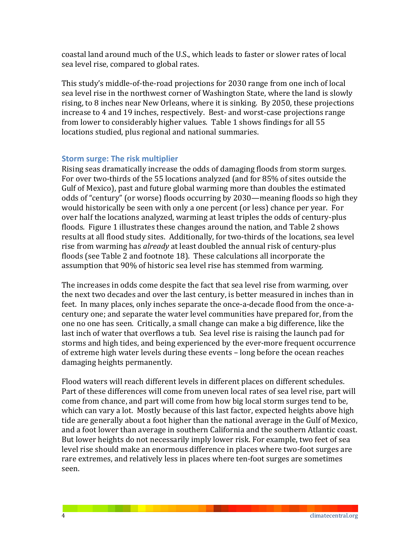coastal land around much of the U.S., which leads to faster or slower rates of local sea level rise, compared to global rates.

This study's middle-of-the-road projections for 2030 range from one inch of local sea level rise in the northwest corner of Washington State, where the land is slowly rising, to 8 inches near New Orleans, where it is sinking. By 2050, these projections increase to 4 and 19 inches, respectively. Best- and worst-case projections range from lower to considerably higher values. Table 1 shows findings for all 55 locations studied, plus regional and national summaries.

# **Storm surge: The risk multiplier**

Rising seas dramatically increase the odds of damaging floods from storm surges. For over two-thirds of the 55 locations analyzed (and for 85% of sites outside the Gulf of Mexico), past and future global warming more than doubles the estimated odds of "century" (or worse) floods occurring by 2030—meaning floods so high they would historically be seen with only a one percent (or less) chance per year. For over half the locations analyzed, warming at least triples the odds of century-plus floods. Figure 1 illustrates these changes around the nation, and Table 2 shows results at all flood study sites. Additionally, for two-thirds of the locations, sea level rise from warming has *already* at least doubled the annual risk of century-plus floods (see Table 2 and footnote 18). These calculations all incorporate the assumption that 90% of historic sea level rise has stemmed from warming.

The increases in odds come despite the fact that sea level rise from warming, over the next two decades and over the last century, is better measured in inches than in feet. In many places, only inches separate the once-a-decade flood from the once-acentury one; and separate the water level communities have prepared for, from the one no one has seen. Critically, a small change can make a big difference, like the last inch of water that overflows a tub. Sea level rise is raising the launch pad for storms and high tides, and being experienced by the ever-more frequent occurrence of extreme high water levels during these events - long before the ocean reaches damaging heights permanently.

Flood waters will reach different levels in different places on different schedules. Part of these differences will come from uneven local rates of sea level rise, part will come from chance, and part will come from how big local storm surges tend to be, which can vary a lot. Mostly because of this last factor, expected heights above high tide are generally about a foot higher than the national average in the Gulf of Mexico, and a foot lower than average in southern California and the southern Atlantic coast. But lower heights do not necessarily imply lower risk. For example, two feet of sea level rise should make an enormous difference in places where two-foot surges are rare extremes, and relatively less in places where ten-foot surges are sometimes seen.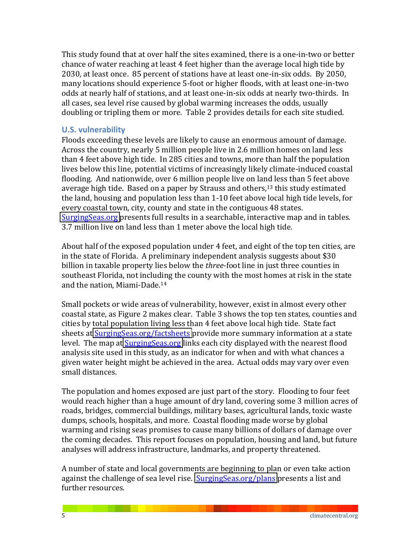This study found that at over half the sites examined, there is a one-in-two or better chance of water reaching at least 4 feet higher than the average local high tide by 2030, at least once. 85 percent of stations have at least one-in-six odds. By 2050, many locations should experience 5-foot or higher floods, with at least one-in-two odds at nearly half of stations, and at least one-in-six odds at nearly two-thirds. In all cases, sea level rise caused by global warming increases the odds, usually doubling or tripling them or more. Table 2 provides details for each site studied.

## **U.S. vulnerability**

Floods exceeding these levels are likely to cause an enormous amount of damage. Across the country, nearly 5 million people live in 2.6 million homes on land less than 4 feet above high tide. In 285 cities and towns, more than half the population lives below this line, potential victims of increasingly likely climate-induced coastal flooding. And nationwide, over 6 million people live on land less than 5 feet above average high tide. Based on a paper by Strauss and others,<sup>13</sup> this study estimated the land, housing and population less than 1-10 feet above local high tide levels, for every coastal town, city, county and state in the contiguous 48 states. [SurgingSeas.org](http://surgingseas.org/) presents full results in a searchable, interactive map and in tables. 3.7 million live on land less than 1 meter above the local high tide.

About half of the exposed population under 4 feet, and eight of the top ten cities, are in the state of Florida. A preliminary independent analysis suggests about  $$30$ billion in taxable property lies below the *three*-foot line in just three counties in southeast Florida, not including the county with the most homes at risk in the state and the nation, Miami-Dade.<sup>14</sup>

Small pockets or wide areas of vulnerability, however, exist in almost every other coastal state, as Figure 2 makes clear. Table 3 shows the top ten states, counties and cities by total population living less than 4 feet above local high tide. State fact sheets at SurgingSeas.org/factsheets provide more summary information at a state level. The map at **SurgingSeas.org** links each city displayed with the nearest flood analysis site used in this study, as an indicator for when and with what chances a given water height might be achieved in the area. Actual odds may vary over even small distances.

The population and homes exposed are just part of the story. Flooding to four feet would reach higher than a huge amount of dry land, covering some 3 million acres of roads, bridges, commercial buildings, military bases, agricultural lands, toxic waste dumps, schools, hospitals, and more. Coastal flooding made worse by global warming and rising seas promises to cause many billions of dollars of damage over the coming decades. This report focuses on population, housing and land, but future analyses will address infrastructure, landmarks, and property threatened.

A number of state and local governments are beginning to plan or even take action against the challenge of sea level rise. SurgingSeas.org/plans presents a list and further resources.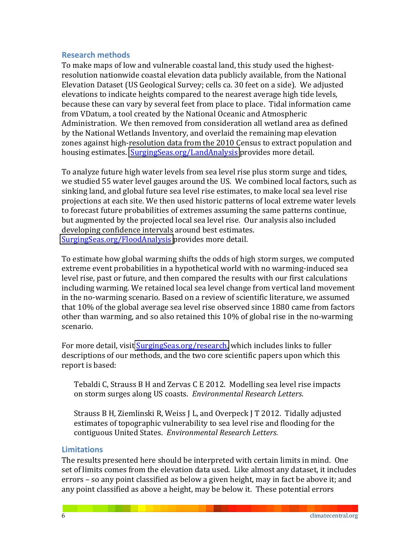#### **Research methods**

To make maps of low and vulnerable coastal land, this study used the highestresolution nationwide coastal elevation data publicly available, from the National Elevation Dataset (US Geological Survey; cells ca. 30 feet on a side). We adjusted elevations to indicate heights compared to the nearest average high tide levels, because these can vary by several feet from place to place. Tidal information came from VDatum, a tool created by the National Oceanic and Atmospheric Administration. We then removed from consideration all wetland area as defined by the National Wetlands Inventory, and overlaid the remaining map elevation zones against high-resolution data from the 2010 Census to extract population and housing estimates. SurgingSeas.org/LandAnalysis provides more detail.

To analyze future high water levels from sea level rise plus storm surge and tides, we studied 55 water level gauges around the US. We combined local factors, such as sinking land, and global future sea level rise estimates, to make local sea level rise projections at each site. We then used historic patterns of local extreme water levels to forecast future probabilities of extremes assuming the same patterns continue, but augmented by the projected local sea level rise. Our analysis also included developing confidence intervals around best estimates. [SurgingSeas.org/FloodAnalysis](http://surgingseas.org/FloodAnalysis) provides more detail.

To estimate how global warming shifts the odds of high storm surges, we computed extreme event probabilities in a hypothetical world with no warming-induced sea level rise, past or future, and then compared the results with our first calculations including warming. We retained local sea level change from vertical land movement in the no-warming scenario. Based on a review of scientific literature, we assumed that 10% of the global average sea level rise observed since 1880 came from factors other than warming, and so also retained this  $10\%$  of global rise in the no-warming scenario.

For more detail, visit SurgingSeas.org/research, which includes links to fuller descriptions of our methods, and the two core scientific papers upon which this report is based:

Tebaldi C, Strauss B H and Zervas C E 2012. Modelling sea level rise impacts on storm surges along US coasts. *Environmental Research Letters.* 

Strauss B H, Ziemlinski R, Weiss J L, and Overpeck J T 2012. Tidally adjusted estimates of topographic vulnerability to sea level rise and flooding for the contiguous United States. Environmental Research Letters.

## **Limitations**

The results presented here should be interpreted with certain limits in mind. One set of limits comes from the elevation data used. Like almost any dataset, it includes errors – so any point classified as below a given height, may in fact be above it; and any point classified as above a height, may be below it. These potential errors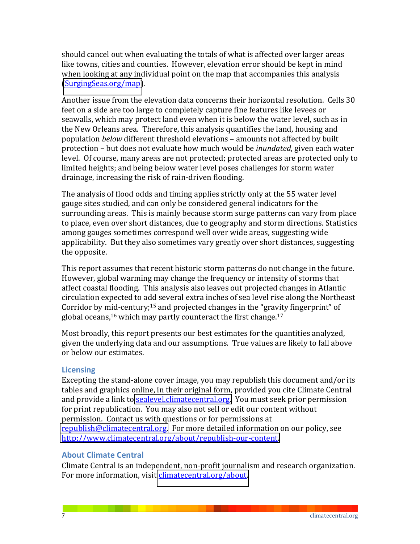should cancel out when evaluating the totals of what is affected over larger areas like towns, cities and counties. However, elevation error should be kept in mind when looking at any individual point on the map that accompanies this analysis [\(SurgingSeas.org/map\)](http://surgingseas.org/map).

Another issue from the elevation data concerns their horizontal resolution. Cells 30 feet on a side are too large to completely capture fine features like levees or seawalls, which may protect land even when it is below the water level, such as in the New Orleans area. Therefore, this analysis quantifies the land, housing and population *below* different threshold elevations - amounts not affected by built protection – but does not evaluate how much would be *inundated*, given each water level. Of course, many areas are not protected; protected areas are protected only to limited heights; and being below water level poses challenges for storm water drainage, increasing the risk of rain-driven flooding.

The analysis of flood odds and timing applies strictly only at the 55 water level gauge sites studied, and can only be considered general indicators for the surrounding areas. This is mainly because storm surge patterns can vary from place to place, even over short distances, due to geography and storm directions. Statistics among gauges sometimes correspond well over wide areas, suggesting wide applicability. But they also sometimes vary greatly over short distances, suggesting the opposite.

This report assumes that recent historic storm patterns do not change in the future. However, global warming may change the frequency or intensity of storms that affect coastal flooding. This analysis also leaves out projected changes in Atlantic circulation expected to add several extra inches of sea level rise along the Northeast Corridor by mid-century;<sup>15</sup> and projected changes in the "gravity fingerprint" of global oceans,<sup>16</sup> which may partly counteract the first change.<sup>17</sup>

Most broadly, this report presents our best estimates for the quantities analyzed, given the underlying data and our assumptions. True values are likely to fall above or below our estimates.

#### **Licensing**

Excepting the stand-alone cover image, you may republish this document and/or its tables and graphics online, in their original form, provided you cite Climate Central and provide a link to sealevel.climatecentral.org. You must seek prior permission for print republication. You may also not sell or edit our content without permission. Contact us with questions or for permissions at [republish@climatecentral.org.](mailto:republish@climatecentral.org) For more detailed information on our policy, see http://www.climatecentral.org/about/republish-our-content.

#### **About Climate Central**

Climate Central is an independent, non-profit journalism and research organization. For more information, visit *climatecentral.org/about.*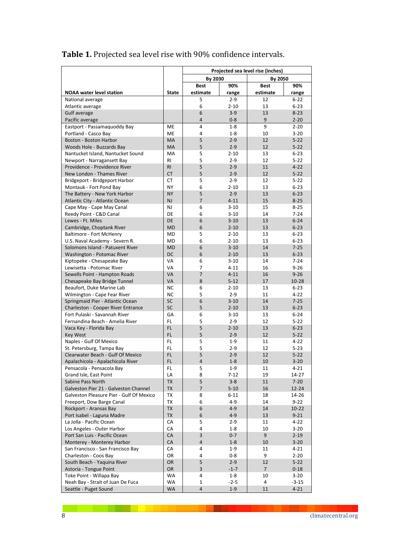|                                                                |                 | Projected sea level rise (inches) |                      |                |                       |
|----------------------------------------------------------------|-----------------|-----------------------------------|----------------------|----------------|-----------------------|
|                                                                |                 | By 2030                           |                      | By 2050        |                       |
|                                                                |                 | <b>Best</b>                       | 90%                  | <b>Best</b>    | 90%                   |
| <b>NOAA water level station</b>                                | <b>State</b>    | estimate                          | range                | estimate       | range                 |
| National average                                               |                 | 5                                 | $2 - 9$              | 12             | $6 - 22$              |
| Atlantic average                                               |                 | 6                                 | $2 - 10$             | 13             | $6 - 23$              |
| Gulf average                                                   |                 | 6<br>4                            | $3 - 9$<br>$0 - 8$   | 13<br>9        | $8 - 23$              |
| Pacific average<br>Eastport - Passamaquoddy Bay                | ME              | 4                                 | $1 - 8$              | 9              | $2 - 20$<br>$2 - 20$  |
| Portland - Casco Bay                                           | <b>ME</b>       | 4                                 | $1 - 8$              | 10             | $3 - 20$              |
| Boston - Boston Harbor                                         | MA              | 5                                 | $2 - 9$              | 12             | $5 - 22$              |
| Woods Hole - Buzzards Bay                                      | MA              | 5                                 | $2 - 9$              | 12             | $5 - 22$              |
| Nantucket Island, Nantucket Sound                              | MA              | 5                                 | $2 - 10$             | 13             | $6 - 23$              |
| Newport - Narragansett Bay                                     | <b>RI</b>       | 5                                 | $2 - 9$              | 12             | $5 - 22$              |
| Providence - Providence River                                  | RI              | 5                                 | $2 - 9$              | 11             | $4 - 22$              |
| New London - Thames River                                      | <b>CT</b>       | 5                                 | $2 - 9$              | 12             | $5 - 22$              |
| Bridgeport - Bridgeport Harbor                                 | СT              | 5                                 | $2 - 9$              | 12             | $5 - 22$              |
| Montauk - Fort Pond Bay<br>The Battery - New York Harbor       | NY<br><b>NY</b> | 6<br>5                            | $2 - 10$<br>$2 - 9$  | 13<br>13       | $6 - 23$<br>$6 - 23$  |
| Atlantic City - Atlantic Ocean                                 | NJ              | $\overline{7}$                    | $4 - 11$             | 15             | $8 - 25$              |
| Cape May - Cape May Canal                                      | NJ              | 6                                 | $3 - 10$             | 15             | $8 - 25$              |
| Reedy Point - C&D Canal                                        | DE              | 6                                 | $3 - 10$             | 14             | $7 - 24$              |
| Lewes - Ft. Miles                                              | DE              | 6                                 | $3 - 10$             | 13             | $6 - 24$              |
| Cambridge, Choptank River                                      | <b>MD</b>       | 6                                 | $2 - 10$             | 13             | $6 - 23$              |
| <b>Baltimore - Fort McHenry</b>                                | <b>MD</b>       | 5                                 | $2 - 10$             | 13             | $6 - 23$              |
| U.S. Naval Academy - Severn R.                                 | <b>MD</b>       | 6                                 | $2 - 10$             | 13             | $6 - 23$              |
| Solomons Island - Patuxent River                               | <b>MD</b>       | 6                                 | $3 - 10$             | 14             | $7 - 25$              |
| Washington - Potomac River                                     | DC              | 6                                 | $2 - 10$             | 13             | $6 - 23$              |
| Kiptopeke - Chesapeake Bay                                     | VA              | 6                                 | $3 - 10$             | 14             | $7 - 24$              |
| Lewisetta - Potomac River                                      | VA              | 7<br>$\overline{7}$               | $4 - 11$             | 16             | $9 - 26$              |
| Sewells Point - Hampton Roads<br>Chesapeake Bay Bridge Tunnel  | VA<br>VA        | 8                                 | $4 - 11$<br>$5 - 12$ | 16<br>17       | $9 - 26$<br>$10 - 28$ |
| Beaufort, Duke Marine Lab                                      | <b>NC</b>       | 6                                 | $2 - 10$             | 13             | $6 - 23$              |
| Wilmington - Cape Fear River                                   | NC              | 5                                 | $2 - 9$              | 11             | $4 - 22$              |
| Springmaid Pier - Atlantic Ocean                               | <b>SC</b>       | 6                                 | $3 - 10$             | 14             | $7 - 25$              |
| Charleston - Cooper River Entrance                             | <b>SC</b>       | 5                                 | $2 - 10$             | 13             | $6 - 23$              |
| Fort Pulaski - Savannah River                                  | GA              | 6                                 | $3 - 10$             | 13             | $6 - 24$              |
| Fernandina Beach - Amelia River                                | FL              | 5                                 | $2 - 9$              | 12             | $5 - 22$              |
| Vaca Key - Florida Bay                                         | FL              | 5                                 | $2 - 10$             | 13             | $6 - 23$              |
| <b>Key West</b>                                                | FL              | 5                                 | $2 - 9$              | 12             | $5 - 22$              |
| Naples - Gulf Of Mexico                                        | FL.             | 5<br>5                            | $1 - 9$              | 11             | $4 - 22$              |
| St. Petersburg, Tampa Bay<br>Clearwater Beach - Gulf Of Mexico | FL<br>FL        | 5                                 | $2 - 9$<br>$2 - 9$   | 12<br>12       | $5 - 23$<br>$5 - 22$  |
| Apalachicola - Apalachicola River                              | FL              | 4                                 | $1 - 8$              | 10             | $3 - 20$              |
| Pensacola - Pensacola Bay                                      | FL.             | 5                                 | $1 - 9$              | 11             | $4 - 21$              |
| Grand Isle, East Point                                         | LA              | 8                                 | $7 - 12$             | 19             | 14-27                 |
| Sabine Pass North                                              | TX              | 5                                 | $3 - 8$              | 11             | $7 - 20$              |
| Galveston Pier 21 - Galveston Channel                          | <b>TX</b>       | $\overline{7}$                    | $5 - 10$             | 16             | $12 - 24$             |
| Galveston Pleasure Pier - Gulf Of Mexico                       | TX              | 8                                 | $6 - 11$             | 18             | 14-26                 |
| Freeport, Dow Barge Canal                                      | TX              | 6                                 | 4-9                  | 14             | $9 - 22$              |
| Rockport - Aransas Bay                                         | TX              | 6                                 | $4 - 9$              | 14             | $10 - 22$             |
| Port Isabel - Laguna Madre                                     | TX              | 6                                 | $4 - 9$              | 13             | $9 - 21$              |
| La Jolla - Pacific Ocean                                       | CA              | 5<br>4                            | $2 - 9$              | 11             | $4 - 22$              |
| Los Angeles - Outer Harbor<br>Port San Luis - Pacific Ocean    | CA<br>CA        | 3                                 | $1 - 8$<br>$0 - 7$   | 10<br>9        | $3 - 20$<br>$2 - 19$  |
| Monterey - Monterey Harbor                                     | ${\sf CA}$      | 4                                 | $1 - 8$              | 10             | $3 - 20$              |
| San Francisco - San Francisco Bay                              | CA              | 4                                 | $1 - 9$              | 11             | $4 - 21$              |
| Charleston - Coos Bay                                          | OR              | 4                                 | $0 - 8$              | 9              | $2 - 20$              |
| South Beach - Yaquina River                                    | OR              | 5                                 | $2 - 9$              | 12             | $5 - 22$              |
| Astoria - Tongue Point                                         | OR              | 3                                 | $-1-7$               | $\overline{7}$ | $0 - 18$              |
| Toke Point - Willapa Bay                                       | WA              | 4                                 | $1 - 8$              | 10             | $3 - 20$              |
| Neah Bay - Strait of Juan De Fuca                              | <b>WA</b>       | $\mathbf{1}$                      | $-2-5$               | $\overline{4}$ | $-3-15$               |
| Seattle - Puget Sound                                          | WA              | 4                                 | $1 - 9$              | 11             | $4 - 21$              |

# Table 1. Projected sea level rise with 90% confidence intervals.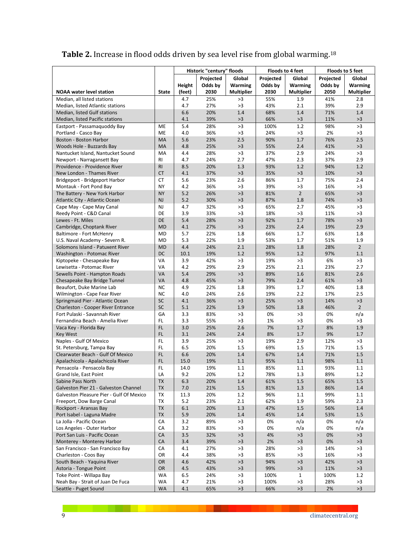Table 2. Increase in flood odds driven by sea level rise from global warming.<sup>18</sup>

|                                                                            |                        |            | Historic "century" floods |                   | Floods to 4 feet |                   | <b>Floods to 5 feet</b> |                      |
|----------------------------------------------------------------------------|------------------------|------------|---------------------------|-------------------|------------------|-------------------|-------------------------|----------------------|
|                                                                            |                        |            | Projected                 | Global            | Projected        | Global            | Projected               | Global               |
|                                                                            |                        | Height     | Odds by                   | Warming           | Odds by          | Warming           | Odds by                 | Warming              |
| <b>NOAA</b> water level station                                            | <b>State</b>           | (feet)     | 2030                      | <b>Multiplier</b> | 2030             | <b>Multiplier</b> | 2050                    | <b>Multiplier</b>    |
| Median, all listed stations                                                |                        | 4.7        | 25%                       | >3                | 55%              | 1.9               | 41%                     | 2.8                  |
| Median, listed Atlantic stations                                           |                        | 4.7        | 27%                       | >3                | 43%              | 2.1               | 39%                     | 2.9                  |
| Median, listed Gulf stations                                               |                        | 6.6        | 20%                       | 1.4               | 68%              | 1.4               | 71%                     | 1.4                  |
| Median, listed Pacific stations                                            |                        | 4.1        | 39%                       | >3                | 66%              | >3                | 11%                     | >3                   |
| Eastport - Passamaguoddy Bay                                               | ME                     | 5.4<br>4.0 | 28%                       | >3<br>>3          | 100%<br>24%      | 1.2<br>>3         | 98%<br>2%               | >3<br>>3             |
| Portland - Casco Bay<br>Boston - Boston Harbor                             | ME<br>MA               | 5.6        | 36%<br>23%                | 2.5               | 90%              | $1.7$             | 76%                     | 2.5                  |
| Woods Hole - Buzzards Bay                                                  | MA                     | 4.8        | 25%                       | >3                | 55%              | 2.4               | 41%                     | >3                   |
| Nantucket Island, Nantucket Sound                                          | MA                     | 4.4        | 28%                       | >3                | 37%              | 2.9               | 24%                     | >3                   |
| Newport - Narragansett Bay                                                 | RI                     | 4.7        | 24%                       | 2.7               | 47%              | 2.3               | 37%                     | 2.9                  |
| Providence - Providence River                                              | <b>RI</b>              | 8.5        | 20%                       | 1.3               | 93%              | 1.2               | 94%                     | 1.2                  |
| New London - Thames River                                                  | <b>CT</b>              | 4.1        | 37%                       | >3                | 35%              | >3                | 10%                     | >3                   |
| Bridgeport - Bridgeport Harbor                                             | СT                     | 5.6        | 23%                       | 2.6               | 86%              | 1.7               | 75%                     | 2.4                  |
| Montauk - Fort Pond Bay                                                    | <b>NY</b>              | 4.2        | 36%                       | >3                | 39%              | >3                | 16%                     | >3                   |
| The Battery - New York Harbor                                              | <b>NY</b>              | 5.2        | 26%                       | >3                | 81%              | $\overline{2}$    | 65%                     | >3                   |
| Atlantic City - Atlantic Ocean                                             | NJ                     | 5.2        | 30%                       | >3                | 87%              | 1.8               | 74%                     | >3                   |
| Cape May - Cape May Canal                                                  | NJ                     | 4.7        | 32%                       | >3                | 65%              | 2.7               | 45%                     | >3                   |
| Reedy Point - C&D Canal                                                    | DE                     | 3.9        | 33%                       | >3                | 18%              | >3                | 11%                     | >3                   |
| Lewes - Ft. Miles                                                          | DE                     | 5.4        | 28%                       | >3                | 92%              | 1.7               | 78%                     | >3                   |
| Cambridge, Choptank River                                                  | <b>MD</b>              | 4.1        | 27%                       | >3                | 23%              | 2.4               | 19%                     | 2.9                  |
| Baltimore - Fort McHenry                                                   | <b>MD</b>              | 5.7        | 22%                       | 1.8               | 66%              | 1.7               | 63%                     | 1.8                  |
| U.S. Naval Academy - Severn R.                                             | <b>MD</b>              | 5.3        | 22%                       | 1.9               | 53%              | 1.7               | 51%                     | 1.9                  |
| Solomons Island - Patuxent River                                           | <b>MD</b>              | 4.4        | 24%                       | 2.1               | 28%              | 1.8               | 28%                     | $\overline{2}$       |
| Washington - Potomac River                                                 | DC                     | 10.1       | 19%                       | 1.2               | 95%              | 1.2               | 97%                     | 1.1                  |
| Kiptopeke - Chesapeake Bay                                                 | VA                     | 3.9        | 42%                       | >3                | 19%              | >3                | 6%                      | >3                   |
| Lewisetta - Potomac River                                                  | VA                     | 4.2        | 29%                       | 2.9               | 25%              | 2.1               | 23%                     | 2.7                  |
| Sewells Point - Hampton Roads                                              | VA                     | 5.4        | 29%                       | >3                | 89%              | 1.6               | 81%                     | 2.6                  |
| Chesapeake Bay Bridge Tunnel                                               | VA                     | 4.8        | 45%                       | >3                | 79%              | 2.4               | 61%                     | >3                   |
| Beaufort, Duke Marine Lab                                                  | NC                     | 4.9        | 22%                       | 1.8               | 39%              | 1.7               | 40%                     | 1.8                  |
| Wilmington - Cape Fear River                                               | <b>NC</b>              | 4.0        | 24%                       | 2.6               | 19%              | 2.2               | 17%                     | 2.5                  |
| Springmaid Pier - Atlantic Ocean                                           | <b>SC</b><br><b>SC</b> | 4.1<br>5.1 | 36%<br>22%                | >3<br>1.9         | 25%<br>50%       | >3<br>1.8         | 14%<br>46%              | >3<br>$\overline{2}$ |
| <b>Charleston - Cooper River Entrance</b><br>Fort Pulaski - Savannah River | GA                     | 3.3        | 83%                       | >3                | 0%               | >3                | 0%                      | n/a                  |
| Fernandina Beach - Amelia River                                            | FL                     | 3.3        | 55%                       | >3                | 1%               | >3                | 0%                      | >3                   |
| Vaca Key - Florida Bay                                                     | FL.                    | 3.0        | 25%                       | 2.6               | 7%               | 1.7               | 8%                      | 1.9                  |
| <b>Key West</b>                                                            | FL                     | 3.1        | 24%                       | 2.4               | 8%               | 1.7               | 9%                      | 1.7                  |
| Naples - Gulf Of Mexico                                                    | FL                     | 3.9        | 25%                       | >3                | 19%              | 2.9               | 12%                     | >3                   |
| St. Petersburg, Tampa Bay                                                  | FL                     | 6.5        | 20%                       | 1.5               | 69%              | 1.5               | 71%                     | 1.5                  |
| Clearwater Beach - Gulf Of Mexico                                          | FL                     | 6.6        | 20%                       | 1.4               | 67%              | 1.4               | 71%                     | 1.5                  |
| Apalachicola - Apalachicola River                                          | FL                     | 15.0       | 19%                       | 1.1               | 95%              | $1.1\,$           | 98%                     | 1.1                  |
| Pensacola - Pensacola Bay                                                  | FL                     | 14.0       | 19%                       | 1.1               | 85%              | 1.1               | 93%                     | 1.1                  |
| Grand Isle, East Point                                                     | LA                     | 9.2        | 20%                       | 1.2               | 78%              | 1.3               | 89%                     | 1.2                  |
| Sabine Pass North                                                          | <b>TX</b>              | 6.3        | 20%                       | 1.4               | 61%              | 1.5               | 65%                     | 1.5                  |
| Galveston Pier 21 - Galveston Channel                                      | <b>TX</b>              | 7.0        | 21%                       | 1.5               | 81%              | 1.3               | 86%                     | 1.4                  |
| Galveston Pleasure Pier - Gulf Of Mexico                                   | TX                     | 11.3       | 20%                       | 1.2               | 96%              | $1.1\,$           | 99%                     | 1.1                  |
| Freeport, Dow Barge Canal                                                  | TX                     | 5.2        | 23%                       | 2.1               | 62%              | 1.9               | 59%                     | 2.3                  |
| Rockport - Aransas Bay                                                     | <b>TX</b>              | 6.1        | 20%                       | 1.3               | 47%              | 1.5               | 56%                     | 1.4                  |
| Port Isabel - Laguna Madre                                                 | <b>TX</b>              | 5.9        | 20%                       | 1.4               | 45%              | $1.4$             | 53%                     | $1.5\,$              |
| La Jolla - Pacific Ocean                                                   | CA                     | 3.2        | 89%                       | >3                | 0%               | n/a               | 0%                      | n/a                  |
| Los Angeles - Outer Harbor                                                 | CA                     | 3.2        | 83%                       | >3                | 0%               | n/a               | 0%                      | n/a                  |
| Port San Luis - Pacific Ocean                                              | CA                     | 3.5        | 32%                       | >3                | 4%               | >3                | 0%                      | >3                   |
| Monterey - Monterey Harbor                                                 | CA                     | 3.4        | 39%                       | $>3$              | 2%               | >3                | 0%                      | >3                   |
| San Francisco - San Francisco Bay                                          | CA                     | 4.1        | 27%                       | >3                | 28%              | >3                | 14%                     | >3                   |
| Charleston - Coos Bay                                                      | OR                     | 4.4        | 38%                       | $>3$              | 85%              | $>3$              | 16%                     | >3                   |
| South Beach - Yaquina River<br>Astoria - Tongue Point                      | OR<br>OR               | 4.6<br>4.5 | 42%<br>43%                | $>3$<br>$>3$      | 94%<br>99%       | >3<br>>3          | 42%<br>11%              | $>3$<br>>3           |
| Toke Point - Willapa Bay                                                   | WA                     | 6.5        | 24%                       | >3                | 100%             | $\mathbf{1}$      | 100%                    | 1.2                  |
| Neah Bay - Strait of Juan De Fuca                                          | WA                     | 4.7        | 21%                       | >3                | 100%             | >3                | 28%                     | >3                   |
| Seattle - Puget Sound                                                      | WA                     | 4.1        | 65%                       | $>3$              | 66%              | $>3$              | 2%                      | $>3$                 |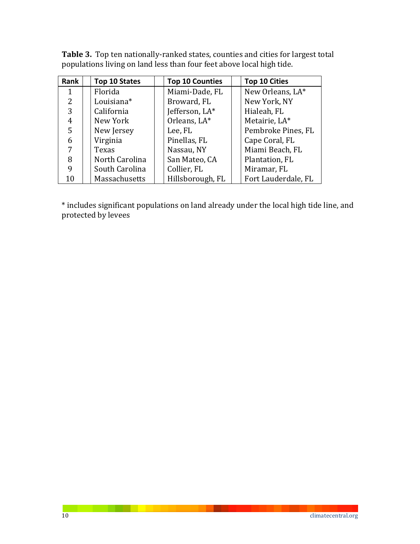| Rank | Top 10 States  | <b>Top 10 Counties</b> | <b>Top 10 Cities</b> |
|------|----------------|------------------------|----------------------|
| 1    | Florida        | Miami-Dade, FL         | New Orleans, LA*     |
| 2    | Louisiana*     | Broward, FL            | New York, NY         |
| 3    | California     | Jefferson, LA*         | Hialeah, FL          |
| 4    | New York       | Orleans, LA*           | Metairie, LA*        |
| 5    | New Jersey     | Lee, FL                | Pembroke Pines, FL   |
| 6    | Virginia       | Pinellas, FL           | Cape Coral, FL       |
| 7    | Texas          | Nassau, NY             | Miami Beach, FL      |
| 8    | North Carolina | San Mateo, CA          | Plantation, FL       |
| 9    | South Carolina | Collier, FL            | Miramar, FL          |
| 10   | Massachusetts  | Hillsborough, FL       | Fort Lauderdale, FL  |

Table 3. Top ten nationally-ranked states, counties and cities for largest total populations living on land less than four feet above local high tide.

\* includes significant populations on land already under the local high tide line, and protected by levees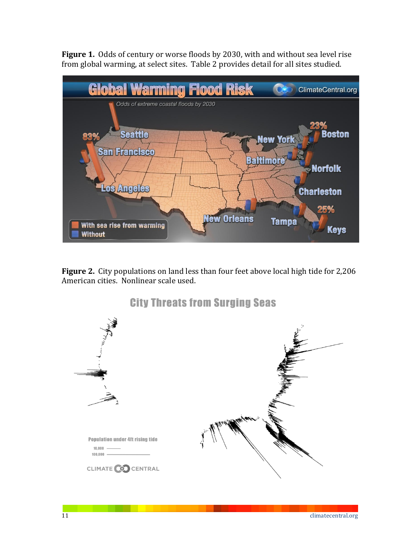Figure 1. Odds of century or worse floods by 2030, with and without sea level rise from global warming, at select sites. Table 2 provides detail for all sites studied.



Figure 2. City populations on land less than four feet above local high tide for 2,206 American cities. Nonlinear scale used.

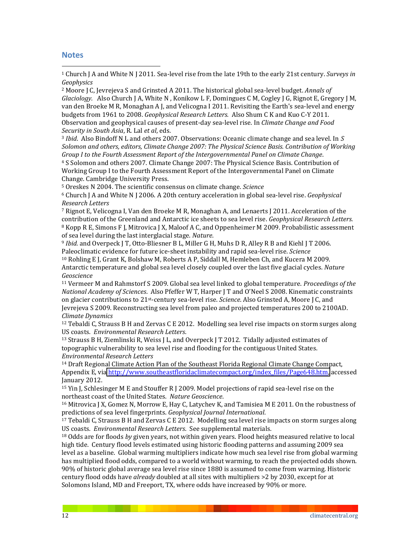#### **Notes**

!!!!!!!!!!!!!!!!!!!!!!!!!!!!!!!!!!!!!!!!!!!!!!!!!!!!!!!

<sup>1</sup> Church J A and White N J 2011. Sea-level rise from the late 19th to the early 21st century. *Surveys in Geophysics*

<sup>2</sup> Moore J C, Jevrejeva S and Grinsted A 2011. The historical global sea-level budget. *Annals of Glaciology.* Also Church J A, White N, Konikow L F, Domingues C M, Cogley J G, Rignot E, Gregory J M, van den Broeke M R, Monaghan A J, and Velicogna I 2011. Revisiting the Earth's sea-level and energy budgets from 1961 to 2008. *Geophysical Research Letters.* Also Shum C K and Kuo C-Y 2011. Observation and geophysical causes of present-day sea-level rise. In *Climate Change and Food Security in South Asia. R. Lal et al. eds.* 

<sup>3</sup> *Ibid.* Also Bindoff N L and others 2007. Observations: Oceanic climate change and sea level. In S Solomon and others, editors, Climate Change 2007: The Physical Science Basis. Contribution of Working *Group I to the Fourth Assessment Report of the Intergovernmental Panel on Climate Change.* 

<sup>4</sup> S Solomon and others 2007. Climate Change 2007: The Physical Science Basis. Contribution of Working Group I to the Fourth Assessment Report of the Intergovernmental Panel on Climate Change. Cambridge University Press.

<sup>5</sup> Oreskes N 2004. The scientific consensus on climate change. *Science* 

<sup>6</sup> Church J A and White N J 2006. A 20th century acceleration in global sea-level rise. *Geophysical Research2Letters*

<sup>7</sup> Rignot E, Velicogna I, Van den Broeke M R, Monaghan A, and Lenaerts J 2011. Acceleration of the contribution of the Greenland and Antarctic ice sheets to sea level rise. *Geophysical Research Letters.* <sup>8</sup> Kopp R E, Simons F J, Mitrovica J X, Maloof A C, and Oppenheimer M 2009. Probabilistic assessment of sea level during the last interglacial stage. *Nature*.

<sup>9</sup> *Ibid.* and Overpeck I T, Otto-Bliesner B L, Miller G H, Muhs D R, Alley R B and Kiehl I T 2006. Paleoclimatic evidence for future ice-sheet instability and rapid sea-level rise. *Science* <sup>10</sup> Rohling E J, Grant K, Bolshaw M, Roberts A P, Siddall M, Hemleben Ch, and Kucera M 2009. Antarctic temperature and global sea level closely coupled over the last five glacial cycles. *Nature Geoscience*

<sup>11</sup> Vermeer M and Rahmstorf S 2009. Global sea level linked to global temperature. *Proceedings of the National Academy of Sciences*. Also Pfeffer W T, Harper J T and O'Neel S 2008. Kinematic constraints on glacier contributions to 21<sup>st</sup>-century sea-level rise. *Science*. Also Grinsted A, Moore J C, and Jevrejeva S 2009. Reconstructing sea level from paleo and projected temperatures 200 to 2100AD. *Climate Dynamics* 

 $12$  Tebaldi C, Strauss B H and Zervas C E 2012. Modelling sea level rise impacts on storm surges along US coasts. *Environmental Research Letters.* 

<sup>13</sup> Strauss B H, Ziemlinski R, Weiss J L, and Overpeck J T 2012. Tidally adjusted estimates of topographic vulnerability to sea level rise and flooding for the contiguous United States. *Environmental2Research2Letters*

 $14$  Draft Regional Climate Action Plan of the Southeast Florida Regional Climate Change Compact, Appendix E, via http://www.southeastfloridaclimatecompact.org/index\_files/Page648.htm, accessed January 2012.

<sup>15</sup> Yin J, Schlesinger M E and Stouffer R J 2009. Model projections of rapid sea-level rise on the northeast coast of the United States. Nature Geoscience.

<sup>16</sup> Mitrovica J X, Gomez N, Morrow E, Hay C, Latychev K, and Tamisiea M E 2011. On the robustness of predictions of sea level fingerprints. *Geophysical Journal International*.

<sup>17</sup> Tebaldi C. Strauss B H and Zervas C E 2012. Modelling sea level rise impacts on storm surges along US coasts. *Environmental Research Letters*. See supplemental materials.

<sup>18</sup> Odds are for floods *by* given years, not within given years. Flood heights measured relative to local high tide. Century flood levels estimated using historic flooding patterns and assuming 2009 sea level as a baseline. Global warming multipliers indicate how much sea level rise from global warming has multiplied flood odds, compared to a world without warming, to reach the projected odds shown. 90% of historic global average sea level rise since 1880 is assumed to come from warming. Historic century flood odds have *already* doubled at all sites with multipliers >2 by 2030, except for at Solomons Island, MD and Freeport, TX, where odds have increased by 90% or more.